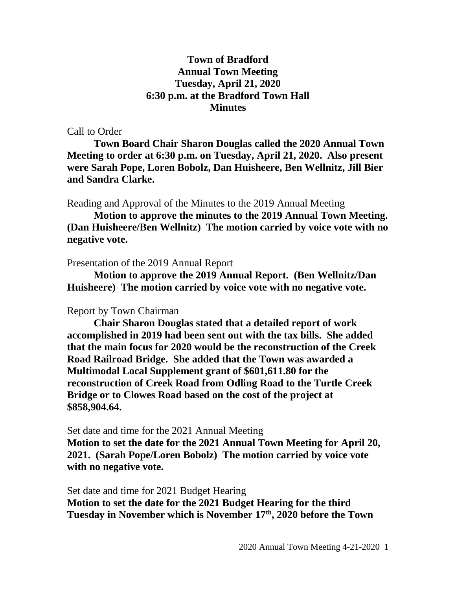## **Town of Bradford Annual Town Meeting Tuesday, April 21, 2020 6:30 p.m. at the Bradford Town Hall Minutes**

## Call to Order

**Town Board Chair Sharon Douglas called the 2020 Annual Town Meeting to order at 6:30 p.m. on Tuesday, April 21, 2020. Also present were Sarah Pope, Loren Bobolz, Dan Huisheere, Ben Wellnitz, Jill Bier and Sandra Clarke.**

Reading and Approval of the Minutes to the 2019 Annual Meeting

**Motion to approve the minutes to the 2019 Annual Town Meeting. (Dan Huisheere/Ben Wellnitz) The motion carried by voice vote with no negative vote.**

## Presentation of the 2019 Annual Report

**Motion to approve the 2019 Annual Report. (Ben Wellnitz/Dan Huisheere) The motion carried by voice vote with no negative vote.**

## Report by Town Chairman

**Chair Sharon Douglas stated that a detailed report of work accomplished in 2019 had been sent out with the tax bills. She added that the main focus for 2020 would be the reconstruction of the Creek Road Railroad Bridge. She added that the Town was awarded a Multimodal Local Supplement grant of \$601,611.80 for the reconstruction of Creek Road from Odling Road to the Turtle Creek Bridge or to Clowes Road based on the cost of the project at \$858,904.64.**

Set date and time for the 2021 Annual Meeting

**Motion to set the date for the 2021 Annual Town Meeting for April 20, 2021. (Sarah Pope/Loren Bobolz) The motion carried by voice vote with no negative vote.**

Set date and time for 2021 Budget Hearing **Motion to set the date for the 2021 Budget Hearing for the third Tuesday in November which is November 17th, 2020 before the Town**